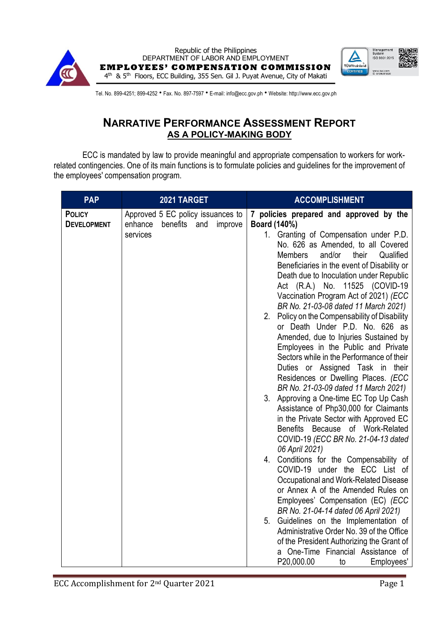



Tel. No. 899-4251; 899-4252 • Fax. No. 897-7597 • E-mail: info@ecc.gov.ph • Website: http://www.ecc.gov.ph

## **NARRATIVE PERFORMANCE ASSESSMENT REPORT AS A POLICY-MAKING BODY**

ECC is mandated by law to provide meaningful and appropriate compensation to workers for workrelated contingencies. One of its main functions is to formulate policies and guidelines for the improvement of the employees' compensation program.

| <b>PAP</b>         | 2021 TARGET                                       | <b>ACCOMPLISHMENT</b>                                                                                                                                                                                                                                                                                                                                                                                                                                                                                                                                                                                                                                                                                                                                                                                                                                                                                                                                                                                                                                                                                                                                                                                                                                                                                        |
|--------------------|---------------------------------------------------|--------------------------------------------------------------------------------------------------------------------------------------------------------------------------------------------------------------------------------------------------------------------------------------------------------------------------------------------------------------------------------------------------------------------------------------------------------------------------------------------------------------------------------------------------------------------------------------------------------------------------------------------------------------------------------------------------------------------------------------------------------------------------------------------------------------------------------------------------------------------------------------------------------------------------------------------------------------------------------------------------------------------------------------------------------------------------------------------------------------------------------------------------------------------------------------------------------------------------------------------------------------------------------------------------------------|
| <b>POLICY</b>      | Approved 5 EC policy issuances to                 | 7 policies prepared and approved by the                                                                                                                                                                                                                                                                                                                                                                                                                                                                                                                                                                                                                                                                                                                                                                                                                                                                                                                                                                                                                                                                                                                                                                                                                                                                      |
| <b>DEVELOPMENT</b> | enhance<br>benefits<br>and<br>improve<br>services | Board (140%)<br>1. Granting of Compensation under P.D.<br>No. 626 as Amended, to all Covered<br><b>Members</b><br>and/or<br>their<br>Qualified<br>Beneficiaries in the event of Disability or<br>Death due to Inoculation under Republic<br>Act (R.A.) No. 11525 (COVID-19<br>Vaccination Program Act of 2021) (ECC<br>BR No. 21-03-08 dated 11 March 2021)<br>2. Policy on the Compensability of Disability<br>or Death Under P.D. No. 626 as<br>Amended, due to Injuries Sustained by<br>Employees in the Public and Private<br>Sectors while in the Performance of their<br>Duties or Assigned Task in<br>their<br>Residences or Dwelling Places. (ECC<br>BR No. 21-03-09 dated 11 March 2021)<br>3. Approving a One-time EC Top Up Cash<br>Assistance of Php30,000 for Claimants<br>in the Private Sector with Approved EC<br>Benefits Because of Work-Related<br>COVID-19 (ECC BR No. 21-04-13 dated<br>06 April 2021)<br>4. Conditions for the Compensability of<br>COVID-19 under the ECC List of<br>Occupational and Work-Related Disease<br>or Annex A of the Amended Rules on<br>Employees' Compensation (EC) (ECC)<br>BR No. 21-04-14 dated 06 April 2021)<br>Guidelines on the Implementation of<br>5.<br>Administrative Order No. 39 of the Office<br>of the President Authorizing the Grant of |
|                    |                                                   | a One-Time Financial Assistance of<br>P20,000.00<br>Employees'<br>to                                                                                                                                                                                                                                                                                                                                                                                                                                                                                                                                                                                                                                                                                                                                                                                                                                                                                                                                                                                                                                                                                                                                                                                                                                         |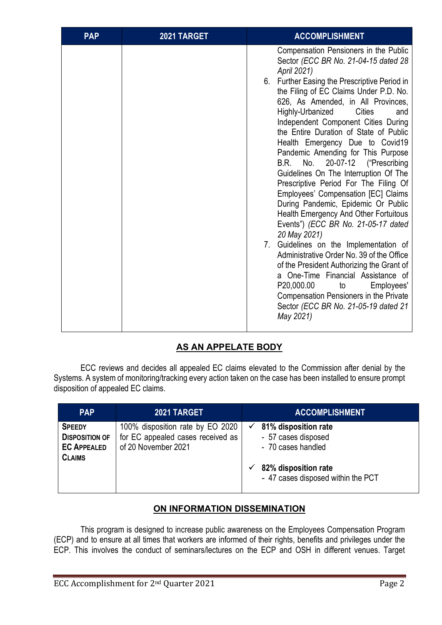| <b>PAP</b> | 2021 TARGET | <b>ACCOMPLISHMENT</b>                                                                                                                                                                                                                                                                                                                                                                                                                                                                                                                                                                                                                                                                                                                                                                                                                                                                                                                                                                                                                                        |
|------------|-------------|--------------------------------------------------------------------------------------------------------------------------------------------------------------------------------------------------------------------------------------------------------------------------------------------------------------------------------------------------------------------------------------------------------------------------------------------------------------------------------------------------------------------------------------------------------------------------------------------------------------------------------------------------------------------------------------------------------------------------------------------------------------------------------------------------------------------------------------------------------------------------------------------------------------------------------------------------------------------------------------------------------------------------------------------------------------|
|            |             | Compensation Pensioners in the Public<br>Sector (ECC BR No. 21-04-15 dated 28<br>April 2021)<br>6. Further Easing the Prescriptive Period in<br>the Filing of EC Claims Under P.D. No.<br>626, As Amended, in All Provinces,<br>Highly-Urbanized<br><b>Cities</b><br>and<br>Independent Component Cities During<br>the Entire Duration of State of Public<br>Health Emergency Due to Covid19<br>Pandemic Amending for This Purpose<br>20-07-12<br>("Prescribing<br>No.<br>B.R.<br>Guidelines On The Interruption Of The<br>Prescriptive Period For The Filing Of<br>Employees' Compensation [EC] Claims<br>During Pandemic, Epidemic Or Public<br>Health Emergency And Other Fortuitous<br>Events") (ECC BR No. 21-05-17 dated<br>20 May 2021)<br>Guidelines on the Implementation of<br>7.<br>Administrative Order No. 39 of the Office<br>of the President Authorizing the Grant of<br>a One-Time Financial Assistance of<br>P20,000.00<br>to<br>Employees'<br>Compensation Pensioners in the Private<br>Sector (ECC BR No. 21-05-19 dated 21<br>May 2021) |

## **AS AN APPELATE BODY**

ECC reviews and decides all appealed EC claims elevated to the Commission after denial by the Systems. A system of monitoring/tracking every action taken on the case has been installed to ensure prompt disposition of appealed EC claims.

| <b>PAP</b>                                                                    | 2021 TARGET                                                                                  | <b>ACCOMPLISHMENT</b>                                                                                                           |
|-------------------------------------------------------------------------------|----------------------------------------------------------------------------------------------|---------------------------------------------------------------------------------------------------------------------------------|
| <b>SPEEDY</b><br><b>DISPOSITION OF</b><br><b>EC APPEALED</b><br><b>CLAIMS</b> | 100% disposition rate by EO 2020<br>for EC appealed cases received as<br>of 20 November 2021 | 81% disposition rate<br>- 57 cases disposed<br>- 70 cases handled<br>82% disposition rate<br>- 47 cases disposed within the PCT |

## **ON INFORMATION DISSEMINATION**

This program is designed to increase public awareness on the Employees Compensation Program (ECP) and to ensure at all times that workers are informed of their rights, benefits and privileges under the ECP. This involves the conduct of seminars/lectures on the ECP and OSH in different venues. Target